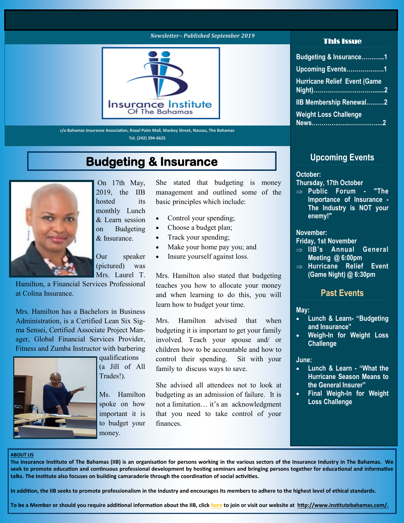#### *Newsletter– Published September 2019*



**c/o Bahamas Insurance Association, Royal Palm Mall, Mackey Street, Nassau, The Bahamas Tel. (242) 394-6625**

### **Budgeting & Insurance**



On 17th May, 2019, the IIB hosted its monthly Lunch & Learn session on Budgeting & Insurance.

Our speaker (pictured) was Mrs. Laurel T.

Hamilton, a Financial Services Professional at Colina Insurance.

Mrs. Hamilton has a Bachelors in Business Administration, is a Certified Lean Six Sigma Sensei, Certified Associate Project Manager, Global Financial Services Provider, Fitness and Zumba Instructor with barbering



qualifications (a Jill of All Trades!).

Ms. Hamilton spoke on how important it is to budget your money.

She stated that budgeting is money management and outlined some of the basic principles which include:

- Control your spending;
- Choose a budget plan;
- Track your spending;
- Make your home pay you; and
- Insure yourself against loss.

Mrs. Hamilton also stated that budgeting teaches you how to allocate your money and when learning to do this, you will learn how to budget your time.

Mrs. Hamilton advised that when budgeting it is important to get your family involved. Teach your spouse and/ or children how to be accountable and how to control their spending. Sit with your family to discuss ways to save.

She advised all attendees not to look at budgeting as an admission of failure. It is not a limitation… it's an acknowledgment that you need to take control of your finances.

#### This Issue

| Budgeting & Insurance1              |
|-------------------------------------|
| Upcoming Events1                    |
| <b>Hurricane Relief Event (Game</b> |
| <b>IIB Membership Renewal2</b>      |
| <b>Weight Loss Challenge</b>        |

#### **Upcoming Events**

#### **October:**

#### **Thursday, 17th October**

 **Public Forum - "The Importance of Insurance - The Industry is NOT your enemy!"** 

#### **November:**

#### **Friday, 1st November**

- ⇒ IIB's Annual General **Meeting @ 6:00pm**
- **Hurricane Relief Event (Game Night) @ 6:30pm**

#### **Past Events**

#### **May:**

- **Lunch & Learn- "Budgeting and Insurance"**
- **Weigh-In for Weight Loss Challenge**

#### **June:**

- **Lunch & Learn - "What the Hurricane Season Means to the General Insurer"**
- **Final Weigh-In for Weight Loss Challenge**

#### **ABOUT US**

**The Insurance Institute of The Bahamas (IIB) is an organisation for persons working in the various sectors of the Insurance Industry in The Bahamas. We seek to promote education and continuous professional development by hosting seminars and bringing persons together for educational and informative talks. The Institute also focuses on building camaraderie through the coordination of social activities.**

**In addition, the IIB seeks to promote professionalism in the industry and encourages its members to adhere to the highest level of ethical standards.**

**To be a Member or should you require additional information about the IIB, click [here](http://www.institutebahamas.com/page-1341074) to join or visit our website at http://www.institutebahamas.com/.**